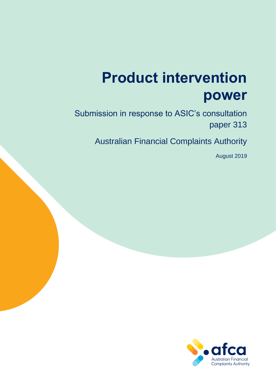# **Product intervention power**

Submission in response to ASIC's consultation paper 313

Australian Financial Complaints Authority

August 2019

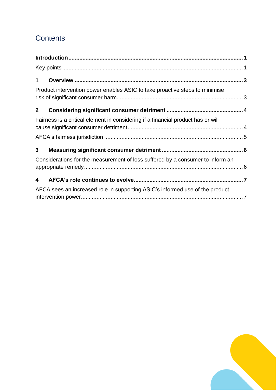## **Contents**

| $\mathbf 1$  |                                                                                  |  |
|--------------|----------------------------------------------------------------------------------|--|
|              | Product intervention power enables ASIC to take proactive steps to minimise      |  |
| $\mathbf{2}$ |                                                                                  |  |
|              | Fairness is a critical element in considering if a financial product has or will |  |
|              |                                                                                  |  |
| 3            |                                                                                  |  |
|              | Considerations for the measurement of loss suffered by a consumer to inform an   |  |
| 4            |                                                                                  |  |
|              | AFCA sees an increased role in supporting ASIC's informed use of the product     |  |

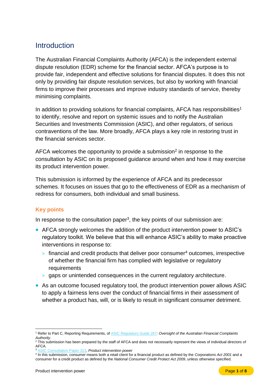## <span id="page-2-0"></span>Introduction

The Australian Financial Complaints Authority (AFCA) is the independent external dispute resolution (EDR) scheme for the financial sector. AFCA's purpose is to provide fair, independent and effective solutions for financial disputes. It does this not only by providing fair dispute resolution services, but also by working with financial firms to improve their processes and improve industry standards of service, thereby minimising complaints.

In addition to providing solutions for financial complaints, AFCA has responsibilities<sup>1</sup> to identify, resolve and report on systemic issues and to notify the Australian Securities and Investments Commission (ASIC), and other regulators, of serious contraventions of the law. More broadly, AFCA plays a key role in restoring trust in the financial services sector.

AFCA welcomes the opportunity to provide a submission<sup>2</sup> in response to the consultation by ASIC on its proposed guidance around when and how it may exercise its product intervention power.

This submission is informed by the experience of AFCA and its predecessor schemes. It focuses on issues that go to the effectiveness of EDR as a mechanism of redress for consumers, both individual and small business.

#### <span id="page-2-1"></span>**Key points**

In response to the consultation paper<sup>3</sup>, the key points of our submission are:

- AFCA strongly welcomes the addition of the product intervention power to ASIC's regulatory toolkit. We believe that this will enhance ASIC's ability to make proactive interventions in response to:
	- $>$  financial and credit products that deliver poor consumer<sup>4</sup> outcomes, irrespective of whether the financial firm has complied with legislative or regulatory requirements
	- > gaps or unintended consequences in the current regulatory architecture.
- As an outcome focused regulatory tool, the product intervention power allows ASIC to apply a fairness lens over the conduct of financial firms in their assessment of whether a product has, will, or is likely to result in significant consumer detriment.

 $\overline{a}$ <sup>1</sup> Refer to Part C, Reporting Requirements, o[f ASIC Regulatory Guide 267:](https://download.asic.gov.au/media/4773579/rg267-published-20-june-2018.pdf) *Oversight of the Australian Financial Complaints Authority*.

<sup>&</sup>lt;sup>2</sup> This submission has been prepared by the staff of AFCA and does not necessarily represent the views of individual directors of AFCA.

<sup>3</sup> [ASIC Consultation Paper 313,](https://download.asic.gov.au/media/5165186/cp313-published-26-june-2019.pdf) *Product intervention power*

<sup>4</sup> In this submission, consumer means both a retail client for a financial product as defined by the *Corporations Act 2001* and a consumer for a credit product as defined by the *National Consumer Credit Protect Act 2009*, unless otherwise specified.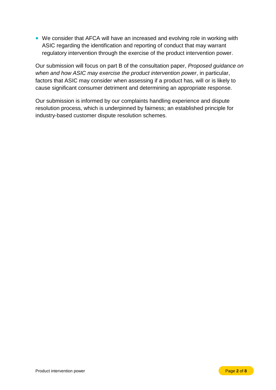• We consider that AFCA will have an increased and evolving role in working with ASIC regarding the identification and reporting of conduct that may warrant regulatory intervention through the exercise of the product intervention power.

Our submission will focus on part B of the consultation paper, *Proposed guidance on when and how ASIC may exercise the product intervention power*, in particular, factors that ASIC may consider when assessing if a product has, will or is likely to cause significant consumer detriment and determining an appropriate response.

Our submission is informed by our complaints handling experience and dispute resolution process, which is underpinned by fairness; an established principle for industry-based customer dispute resolution schemes.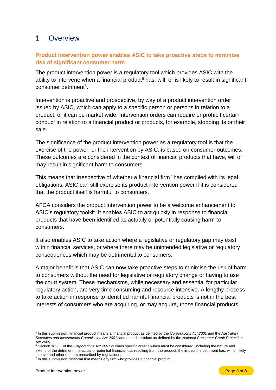### <span id="page-4-0"></span>1 Overview

#### <span id="page-4-1"></span>**Product intervention power enables ASIC to take proactive steps to minimise risk of significant consumer harm**

The product intervention power is a regulatory tool which provides ASIC with the ability to intervene when a financial product<sup>5</sup> has, will, or is likely to result in significant consumer detriment<sup>6</sup>.

Intervention is proactive and prospective, by way of a product intervention order issued by ASIC, which can apply to a specific person or persons in relation to a product, or it can be market wide. Intervention orders can require or prohibit certain conduct in relation to a financial product or products, for example, stopping its or their sale.

The significance of the product intervention power as a regulatory tool is that the exercise of the power, or the intervention by ASIC, is based on consumer outcomes. These outcomes are considered in the context of financial products that have, will or may result in significant harm to consumers.

This means that irrespective of whether a financial firm<sup>7</sup> has complied with its legal obligations, ASIC can still exercise its product intervention power if it is considered that the product itself is harmful to consumers.

AFCA considers the product intervention power to be a welcome enhancement to ASIC's regulatory toolkit. It enables ASIC to act quickly in response to financial products that have been identified as actually or potentially causing harm to consumers.

It also enables ASIC to take action where a legislative or regulatory gap may exist within financial services, or where there may be unintended legislative or regulatory consequences which may be detrimental to consumers.

A major benefit is that ASIC can now take proactive steps to minimise the risk of harm to consumers without the need for legislative or regulatory change or having to use the court system. These mechanisms, while necessary and essential for particular regulatory action, are very time consuming and resource intensive. A lengthy process to take action in response to identified harmful financial products is not in the best interests of consumers who are acquiring, or may acquire, those financial products.

 5 In this submission, financial product means a financial product as defined by the *Corporations Act 2001* and the *Australian Securities and Investments Commission Act 2001*, and a credit product as defined by the *National Consumer Credit Protection Act 2009.*

<sup>6</sup> Section 1023E of the *Corporations Act 2001* outlines specific criteria which must be considered, including the nature and extend of the detriment, the actual or potential financial loss resulting from the product, the impact the detriment has, will or likely to have and other matters prescribed by regulations.

<sup>&</sup>lt;sup>7</sup> In this submission, financial firm means any firm who provides a financial product.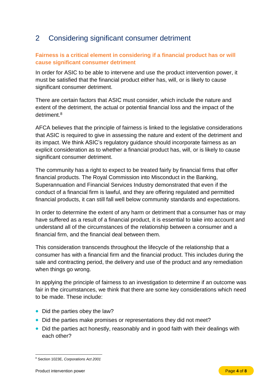## <span id="page-5-0"></span>2 Considering significant consumer detriment

#### <span id="page-5-1"></span>**Fairness is a critical element in considering if a financial product has or will cause significant consumer detriment**

In order for ASIC to be able to intervene and use the product intervention power, it must be satisfied that the financial product either has, will, or is likely to cause significant consumer detriment.

There are certain factors that ASIC must consider, which include the nature and extent of the detriment, the actual or potential financial loss and the impact of the detriment.<sup>8</sup>

AFCA believes that the principle of fairness is linked to the legislative considerations that ASIC is required to give in assessing the nature and extent of the detriment and its impact. We think ASIC's regulatory guidance should incorporate fairness as an explicit consideration as to whether a financial product has, will, or is likely to cause significant consumer detriment.

The community has a right to expect to be treated fairly by financial firms that offer financial products. The Royal Commission into Misconduct in the Banking, Superannuation and Financial Services Industry demonstrated that even if the conduct of a financial firm is lawful, and they are offering regulated and permitted financial products, it can still fall well below community standards and expectations.

In order to determine the extent of any harm or detriment that a consumer has or may have suffered as a result of a financial product, it is essential to take into account and understand all of the circumstances of the relationship between a consumer and a financial firm, and the financial deal between them.

This consideration transcends throughout the lifecycle of the relationship that a consumer has with a financial firm and the financial product. This includes during the sale and contracting period, the delivery and use of the product and any remediation when things go wrong.

In applying the principle of fairness to an investigation to determine if an outcome was fair in the circumstances, we think that there are some key considerations which need to be made. These include:

- Did the parties obey the law?
- Did the parties make promises or representations they did not meet?
- Did the parties act honestly, reasonably and in good faith with their dealings with each other?

 $\overline{a}$ <sup>8</sup> Section 1023E, *Corporations Act 2001*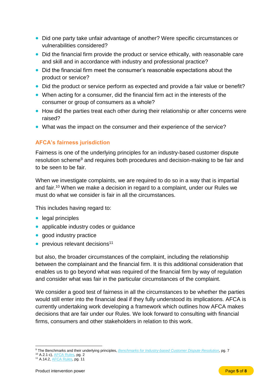- Did one party take unfair advantage of another? Were specific circumstances or vulnerabilities considered?
- Did the financial firm provide the product or service ethically, with reasonable care and skill and in accordance with industry and professional practice?
- Did the financial firm meet the consumer's reasonable expectations about the product or service?
- Did the product or service perform as expected and provide a fair value or benefit?
- When acting for a consumer, did the financial firm act in the interests of the consumer or group of consumers as a whole?
- How did the parties treat each other during their relationship or after concerns were raised?
- What was the impact on the consumer and their experience of the service?

#### <span id="page-6-0"></span>**AFCA's fairness jurisdiction**

Fairness is one of the underlying principles for an industry-based customer dispute resolution scheme<sup>9</sup> and requires both procedures and decision-making to be fair and to be seen to be fair.

When we investigate complaints, we are required to do so in a way that is impartial and fair.<sup>10</sup> When we make a decision in regard to a complaint, under our Rules we must do what we consider is fair in all the circumstances.

This includes having regard to:

- legal principles
- applicable industry codes or quidance
- good industry practice
- $\bullet$  previous relevant decisions<sup>11</sup>

but also, the broader circumstances of the complaint, including the relationship between the complainant and the financial firm. It is this additional consideration that enables us to go beyond what was required of the financial firm by way of regulation and consider what was fair in the particular circumstances of the complaint.

We consider a good test of fairness in all the circumstances to be whether the parties would still enter into the financial deal if they fully understood its implications. AFCA is currently undertaking work developing a framework which outlines how AFCA makes decisions that are fair under our Rules. We look forward to consulting with financial firms, consumers and other stakeholders in relation to this work.

 $\overline{a}$ <sup>9</sup> The Benchmarks and their underlying principles, *[Benchmarks for Industry-based Customer Dispute Resolution](https://treasury.gov.au/sites/default/files/2019-03/benchmarks_ind_cust_dispute_reso.pdf)*, pg. 7

<sup>&</sup>lt;sup>10</sup> A.2.1 c), <u>AFCA Rules,</u> pg. 2

<sup>&</sup>lt;sup>11</sup> A.14.2, <u>AFCA Rules,</u> pg. 11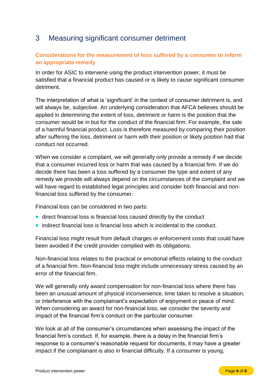## <span id="page-7-0"></span>3 Measuring significant consumer detriment

#### <span id="page-7-1"></span>**Considerations for the measurement of loss suffered by a consumer to inform an appropriate remedy**

In order for ASIC to intervene using the product intervention power, it must be satisfied that a financial product has caused or is likely to cause significant consumer detriment.

The interpretation of what is 'significant' in the context of consumer detriment is, and will always be, subjective. An underlying consideration that AFCA believes should be applied in determining the extent of loss, detriment or harm is the position that the consumer would be in but for the conduct of the financial firm. For example, the sale of a harmful financial product. Loss is therefore measured by comparing their position after suffering the loss, detriment or harm with their position or likely position had that conduct not occurred.

When we consider a complaint, we will generally only provide a remedy if we decide that a consumer incurred loss or harm that was caused by a financial firm. If we do decide there has been a loss suffered by a consumer the type and extent of any remedy we provide will always depend on the circumstances of the complaint and we will have regard to established legal principles and consider both financial and nonfinancial loss suffered by the consumer.

Financial loss can be considered in two parts:

- direct financial loss is financial loss caused directly by the conduct
- indirect financial loss is financial loss which is incidental to the conduct.

Financial loss might result from default charges or enforcement costs that could have been avoided if the credit provider complied with its obligations.

Non-financial loss relates to the practical or emotional effects relating to the conduct of a financial firm. Non-financial loss might include unnecessary stress caused by an error of the financial firm.

We will generally only award compensation for non-financial loss where there has been an unusual amount of physical inconvenience, time taken to resolve a situation, or interference with the complainant's expectation of enjoyment or peace of mind. When considering an award for non-financial loss, we consider the severity and impact of the financial firm's conduct on the particular consumer.

We look at all of the consumer's circumstances when assessing the impact of the financial firm's conduct. If, for example, there is a delay in the financial firm's response to a consumer's reasonable request for documents, it may have a greater impact if the complainant is also in financial difficulty. If a consumer is young,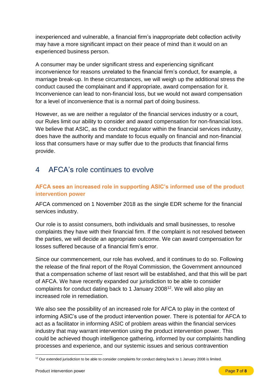inexperienced and vulnerable, a financial firm's inappropriate debt collection activity may have a more significant impact on their peace of mind than it would on an experienced business person.

A consumer may be under significant stress and experiencing significant inconvenience for reasons unrelated to the financial firm's conduct, for example, a marriage break-up. In these circumstances, we will weigh up the additional stress the conduct caused the complainant and if appropriate, award compensation for it. Inconvenience can lead to non-financial loss, but we would not award compensation for a level of inconvenience that is a normal part of doing business.

However, as we are neither a regulator of the financial services industry or a court, our Rules limit our ability to consider and award compensation for non-financial loss. We believe that ASIC, as the conduct regulator within the financial services industry, does have the authority and mandate to focus equally on financial and non-financial loss that consumers have or may suffer due to the products that financial firms provide.

## <span id="page-8-0"></span>4 AFCA's role continues to evolve

#### <span id="page-8-1"></span>**AFCA sees an increased role in supporting ASIC's informed use of the product intervention power**

AFCA commenced on 1 November 2018 as the single EDR scheme for the financial services industry.

Our role is to assist consumers, both individuals and small businesses, to resolve complaints they have with their financial firm. If the complaint is not resolved between the parties, we will decide an appropriate outcome. We can award compensation for losses suffered because of a financial firm's error.

Since our commencement, our role has evolved, and it continues to do so. Following the release of the final report of the Royal Commission, the Government announced that a compensation scheme of last resort will be established, and that this will be part of AFCA. We have recently expanded our jurisdiction to be able to consider complaints for conduct dating back to 1 January 2008<sup>12</sup>. We will also play an increased role in remediation.

We also see the possibility of an increased role for AFCA to play in the context of informing ASIC's use of the product intervention power. There is potential for AFCA to act as a facilitator in informing ASIC of problem areas within the financial services industry that may warrant intervention using the product intervention power. This could be achieved though intelligence gathering, informed by our complaints handling processes and experience, and our systemic issues and serious contravention

 $\overline{a}$  $12$  Our extended jurisdiction to be able to consider complaints for conduct dating back to 1 January 2008 is limited.